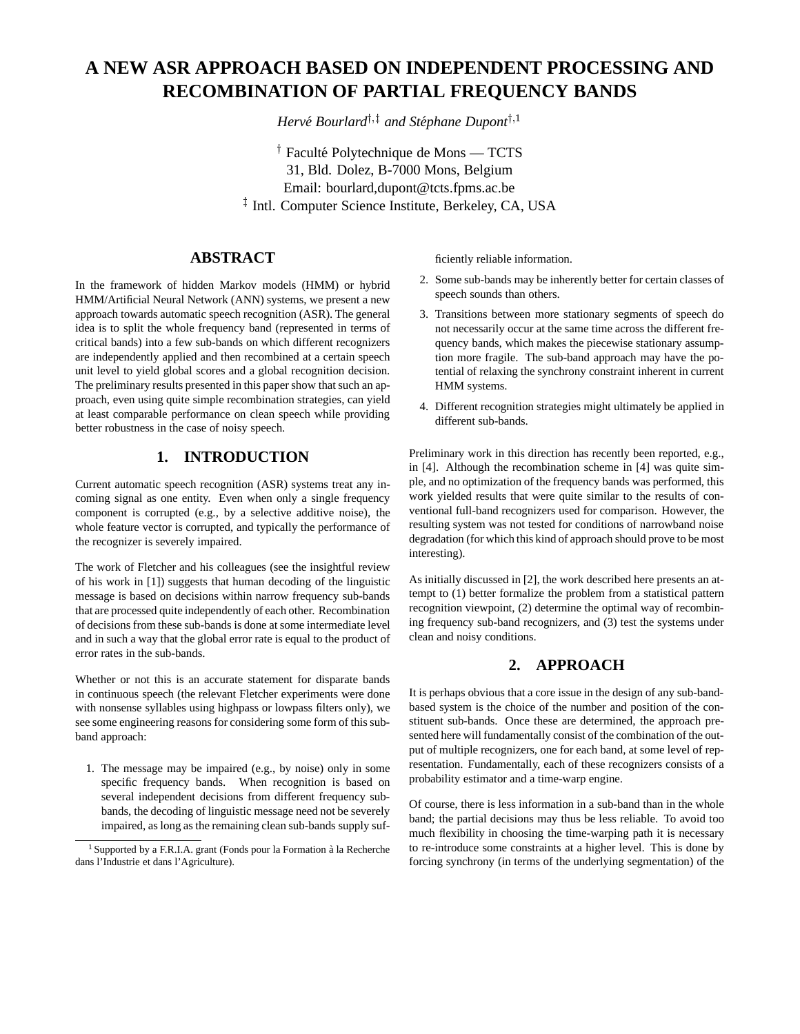# **A NEW ASR APPROACH BASED ON INDEPENDENT PROCESSING AND RECOMBINATION OF PARTIAL FREQUENCY BANDS**

*Hervé Bourlard*<sup>†</sup> *† and Stéphane Dupont*<sup>† *,*1</sup>

<sup>†</sup> Faculté Polytechnique de Mons — TCTS 31, Bld. Dolez, B-7000 Mons, Belgium Email: bourlard,dupont@tcts.fpms.ac.be <sup>‡</sup> Intl. Computer Science Institute, Berkeley, CA, USA

## **ABSTRACT**

In the framework of hidden Markov models (HMM) or hybrid HMM/Artificial Neural Network (ANN) systems, we present a new approach towards automatic speech recognition (ASR). The general idea is to split the whole frequency band (represented in terms of critical bands) into a few sub-bands on which different recognizers are independently applied and then recombined at a certain speech unit level to yield global scores and a global recognition decision. The preliminary results presented in this paper show that such an approach, even using quite simple recombination strategies, can yield at least comparable performance on clean speech while providing better robustness in the case of noisy speech.

## **1. INTRODUCTION**

Current automatic speech recognition (ASR) systems treat any incoming signal as one entity. Even when only a single frequency component is corrupted (e.g., by a selective additive noise), the whole feature vector is corrupted, and typically the performance of the recognizer is severely impaired.

The work of Fletcher and his colleagues (see the insightful review of his work in [1]) suggests that human decoding of the linguistic message is based on decisions within narrow frequency sub-bands that are processed quite independently of each other. Recombination of decisions from these sub-bands is done at some intermediate level and in such a way that the global error rate is equal to the product of error rates in the sub-bands.

Whether or not this is an accurate statement for disparate bands in continuous speech (the relevant Fletcher experiments were done with nonsense syllables using highpass or lowpass filters only), we see some engineering reasons for considering some form of this subband approach:

1. The message may be impaired (e.g., by noise) only in some specific frequency bands. When recognition is based on several independent decisions from different frequency subbands, the decoding of linguistic message need not be severely impaired, as long as the remaining clean sub-bands supply sufficiently reliable information.

- 2. Some sub-bands may be inherently better for certain classes of speech sounds than others.
- 3. Transitions between more stationary segments of speech do not necessarily occur at the same time across the different frequency bands, which makes the piecewise stationary assumption more fragile. The sub-band approach may have the potential of relaxing the synchrony constraint inherent in current HMM systems.
- 4. Different recognition strategies might ultimately be applied in different sub-bands.

Preliminary work in this direction has recently been reported, e.g., in [4]. Although the recombination scheme in [4] was quite simple, and no optimization of the frequency bands was performed, this work yielded results that were quite similar to the results of conventional full-band recognizers used for comparison. However, the resulting system was not tested for conditions of narrowband noise degradation (for which this kind of approach should prove to be most interesting).

As initially discussed in [2], the work described here presents an attempt to (1) better formalize the problem from a statistical pattern recognition viewpoint, (2) determine the optimal way of recombining frequency sub-band recognizers, and (3) test the systems under clean and noisy conditions.

## **2. APPROACH**

It is perhaps obvious that a core issue in the design of any sub-bandbased system is the choice of the number and position of the constituent sub-bands. Once these are determined, the approach presented here will fundamentally consist of the combination of the output of multiple recognizers, one for each band, at some level of representation. Fundamentally, each of these recognizers consists of a probability estimator and a time-warp engine.

Of course, there is less information in a sub-band than in the whole band; the partial decisions may thus be less reliable. To avoid too much flexibility in choosing the time-warping path it is necessary to re-introduce some constraints at a higher level. This is done by forcing synchrony (in terms of the underlying segmentation) of the

<sup>&</sup>lt;sup>1</sup> Supported by a F.R.I.A. grant (Fonds pour la Formation à la Recherche dans l'Industrie et dans l'Agriculture).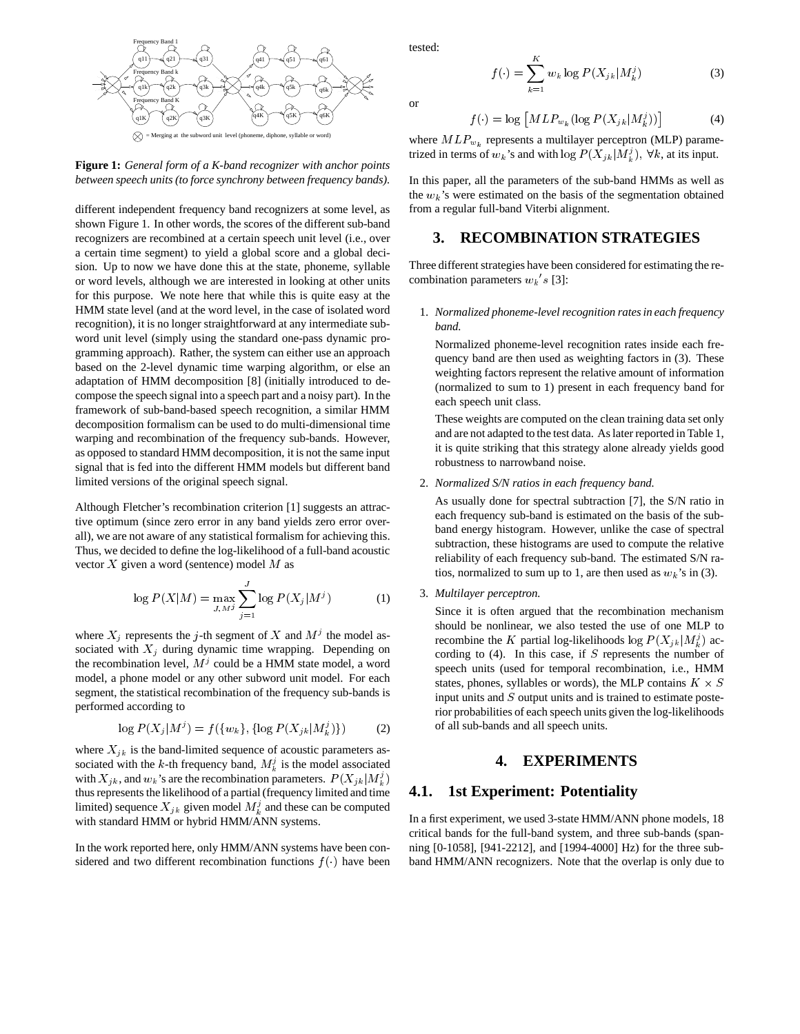



different independent frequency band recognizers at some level, as shown Figure 1. In other words, the scores of the different sub-band recognizers are recombined at a certain speech unit level (i.e., over a certain time segment) to yield a global score and a global decision. Up to now we have done this at the state, phoneme, syllable or word levels, although we are interested in looking at other units for this purpose. We note here that while this is quite easy at the HMM state level (and at the word level, in the case of isolated word recognition), it is no longer straightforward at any intermediate subword unit level (simply using the standard one-pass dynamic programming approach). Rather, the system can either use an approach based on the 2-level dynamic time warping algorithm, or else an adaptation of HMM decomposition [8] (initially introduced to decompose the speech signal into a speech part and a noisy part). In the framework of sub-band-based speech recognition, a similar HMM decomposition formalism can be used to do multi-dimensional time warping and recombination of the frequency sub-bands. However, as opposed to standard HMM decomposition, it is not the same input signal that is fed into the different HMM models but different band limited versions of the original speech signal.

Although Fletcher's recombination criterion [1] suggests an attractive optimum (since zero error in any band yields zero error overall), we are not aware of any statistical formalism for achieving this. Thus, we decided to define the log-likelihood of a full-band acoustic vector  $X$  given a word (sentence) model  $M$  as

$$
\log P(X|M) = \max_{J,Mj} \sum_{j=1}^{J} \log P(X_j|M^j)
$$
 (1)

where  $X_j$  represents the j-th segment of X and  $M<sup>j</sup>$  the model associated with  $X_i$  during dynamic time wrapping. Depending on the recombination level,  $M<sup>j</sup>$  could be a HMM state model, a word model, a phone model or any other subword unit model. For each segment, the statistical recombination of the frequency sub-bands is performed according to

$$
\log P(X_j|M^j) = f(\{w_k\}, \{\log P(X_{jk}|M^j_k)\})
$$
 (2)

where  $X_{ik}$  is the band-limited sequence of acoustic parameters associated with the k-th frequency band,  $M_k^j$  is the model associated with  $X_{ik}$ , and  $w_k$ 's are the recombination parameters.  $P(X_{ik}|M_k^j)$ thus represents the likelihood of a partial (frequency limited and time limited) sequence  $X_{jk}$  given model  $M_k^j$  and these can be computed with standard HMM or hybrid HMM/ANN systems.

In the work reported here, only HMM/ANN systems have been considered and two different recombination functions  $f(\cdot)$  have been tested:

$$
f(\cdot) = \sum_{k=1}^{K} w_k \log P(X_{jk}|M_k^j)
$$
 (3)

or

$$
f(\cdot) = \log \left[ M L P_{w_k} (\log P(X_{jk} | M_k^j)) \right] \tag{4}
$$

where  $MLP_{w_k}$  represents a multilayer perceptron (MLP) parametrized in terms of  $w_k$ 's and with  $\log P(X_{ik}|M_k^j)$ ,  $\forall k$ , at its input.

In this paper, all the parameters of the sub-band HMMs as well as the  $w_k$ 's were estimated on the basis of the segmentation obtained from a regular full-band Viterbi alignment.

#### **3. RECOMBINATION STRATEGIES**

Three different strategies have been considered for estimating the recombination parameters  $w_k$ 's [3]:

1. *Normalized phoneme-level recognition rates in each frequency band.*

Normalized phoneme-level recognition rates inside each frequency band are then used as weighting factors in (3). These weighting factors represent the relative amount of information (normalized to sum to <sup>1</sup>) present in each frequency band for each speech unit class.

These weights are computed on the clean training data set only and are not adapted to the test data. As later reported in Table 1, it is quite striking that this strategy alone already yields good robustness to narrowband noise.

2. *Normalized S/N ratios in each frequency band.*

As usually done for spectral subtraction [7], the S/N ratio in each frequency sub-band is estimated on the basis of the subband energy histogram. However, unlike the case of spectral subtraction, these histograms are used to compute the relative reliability of each frequency sub-band. The estimated S/N ratios, normalized to sum up to 1, are then used as  $w_k$ 's in (3).

3. *Multilayer perceptron.*

Since it is often argued that the recombination mechanism should be nonlinear, we also tested the use of one MLP to recombine the K partial log-likelihoods log  $P(X_{jk}|M_k^j)$  according to  $(4)$ . In this case, if S represents the number of speech units (used for temporal recombination, i.e., HMM states, phones, syllables or words), the MLP contains  $K \times S$ input units and S output units and is trained to estimate posterior probabilities of each speech units given the log-likelihoods of all sub-bands and all speech units.

### **4. EXPERIMENTS**

### **4.1. 1st Experiment: Potentiality**

In a first experiment, we used 3-state HMM/ANN phone models, 18 critical bands for the full-band system, and three sub-bands (spanning [0-1058], [941-2212], and [1994-4000] Hz) for the three subband HMM/ANN recognizers. Note that the overlap is only due to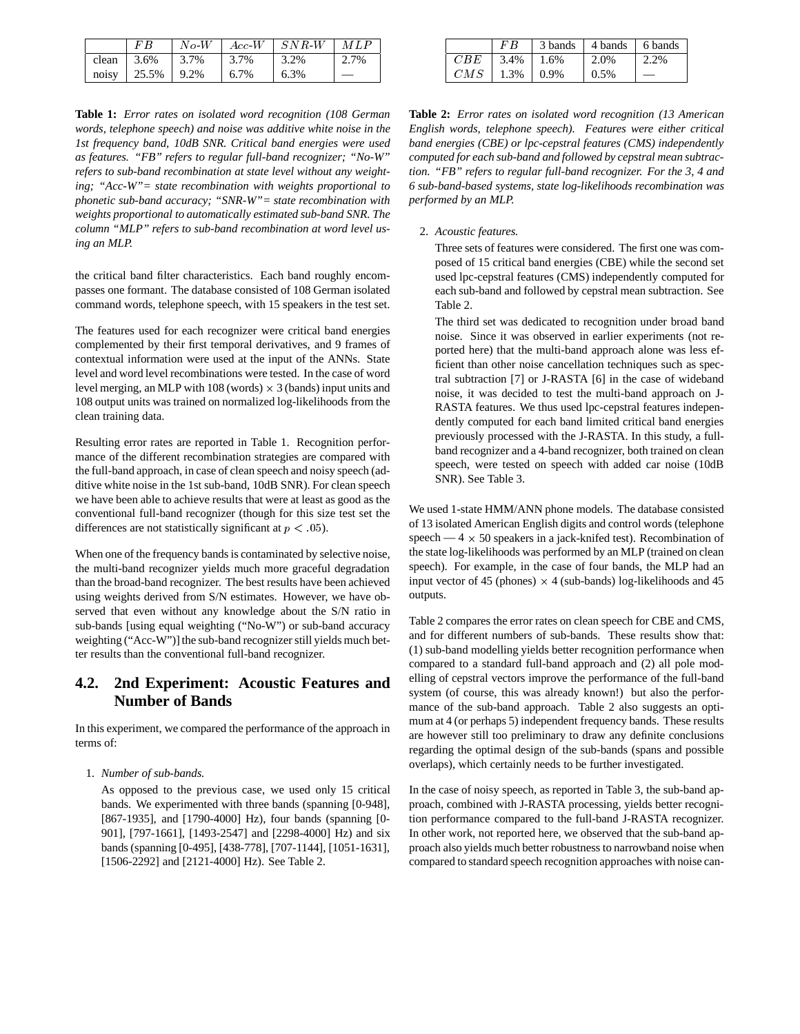|                      |                                                       |      | $\mid$ No-W $\mid$ Acc-W $\mid$ SNR-W $\mid$ MLP |         |
|----------------------|-------------------------------------------------------|------|--------------------------------------------------|---------|
|                      | clean $\frac{13.6\%}{13.7\%}$ $\frac{13.7\%}{13.7\%}$ |      | $1, 3.2\%$                                       | $2.7\%$ |
| noisy   25.5%   9.2% |                                                       | 6.7% | $1,6.3\%$                                        |         |

**Table 1:** *Error rates on isolated word recognition (108 German words, telephone speech) and noise was additive white noise in the 1st frequency band, 10dB SNR. Critical band energies were used as features. "FB" refers to regular full-band recognizer; "No-W" refers to sub-band recombination at state level without any weighting; "Acc-W"= state recombination with weights proportional to phonetic sub-band accuracy; "SNR-W"= state recombination with weights proportional to automatically estimated sub-band SNR. The column "MLP" refers to sub-band recombination at word level using an MLP.*

the critical band filter characteristics. Each band roughly encompasses one formant. The database consisted of 108 German isolated command words, telephone speech, with 15 speakers in the test set.

The features used for each recognizer were critical band energies complemented by their first temporal derivatives, and 9 frames of contextual information were used at the input of the ANNs. State level and word level recombinations were tested. In the case of word level merging, an MLP with  $108$  (words)  $\times$  3 (bands) input units and 108 output units was trained on normalized log-likelihoods from the clean training data.

Resulting error rates are reported in Table 1. Recognition performance of the different recombination strategies are compared with the full-band approach, in case of clean speech and noisy speech (additive white noise in the 1st sub-band, 10dB SNR). For clean speech we have been able to achieve results that were at least as good as the conventional full-band recognizer (though for this size test set the differences are not statistically significant at  $p < .05$ ).

When one of the frequency bands is contaminated by selective noise, the multi-band recognizer yields much more graceful degradation than the broad-band recognizer. The best results have been achieved using weights derived from S/N estimates. However, we have observed that even without any knowledge about the S/N ratio in sub-bands [using equal weighting ("No-W") or sub-band accuracy weighting ("Acc-W")] the sub-band recognizer still yields much better results than the conventional full-band recognizer.

## **4.2. 2nd Experiment: Acoustic Features and Number of Bands**

In this experiment, we compared the performance of the approach in terms of:

1. *Number of sub-bands.*

As opposed to the previous case, we used only 15 critical bands. We experimented with three bands (spanning [0-948], [867-1935], and [1790-4000] Hz), four bands (spanning [0- 901], [797-1661], [1493-2547] and [2298-4000] Hz) and six bands (spanning [0-495], [438-778], [707-1144], [1051-1631], [1506-2292] and [2121-4000] Hz). See Table 2.

|     | FB           | 3 bands 4 bands 6 bands |          |      |
|-----|--------------|-------------------------|----------|------|
| CBE | $3.4\%$ 1.6% |                         | $12.0\%$ | 2.2% |
| CMS | $1.3\%$ 0.9% |                         | $0.5\%$  |      |

**Table 2:** *Error rates on isolated word recognition (13 American English words, telephone speech). Features were either critical band energies (CBE) or lpc-cepstral features (CMS) independently computed for each sub-band and followed by cepstral mean subtraction. "FB" refers to regular full-band recognizer. For the 3, 4 and 6 sub-band-based systems, state log-likelihoods recombination was performed by an MLP.*

#### 2. *Acoustic features.*

Three sets of features were considered. The first one was composed of 15 critical band energies (CBE) while the second set used lpc-cepstral features (CMS) independently computed for each sub-band and followed by cepstral mean subtraction. See Table 2.

The third set was dedicated to recognition under broad band noise. Since it was observed in earlier experiments (not reported here) that the multi-band approach alone was less efficient than other noise cancellation techniques such as spectral subtraction [7] or J-RASTA [6] in the case of wideband noise, it was decided to test the multi-band approach on J-RASTA features. We thus used lpc-cepstral features independently computed for each band limited critical band energies previously processed with the J-RASTA. In this study, a fullband recognizer and a 4-band recognizer, both trained on clean speech, were tested on speech with added car noise (10dB SNR). See Table 3.

We used 1-state HMM/ANN phone models. The database consisted of 13 isolated American English digits and control words (telephone speech —  $4 \times 50$  speakers in a jack-knifed test). Recombination of the state log-likelihoods was performed by an MLP (trained on clean speech). For example, in the case of four bands, the MLP had an input vector of 45 (phones)  $\times$  4 (sub-bands) log-likelihoods and 45 outputs.

Table 2 compares the error rates on clean speech for CBE and CMS, and for different numbers of sub-bands. These results show that: (1) sub-band modelling yields better recognition performance when compared to a standard full-band approach and (2) all pole modelling of cepstral vectors improve the performance of the full-band system (of course, this was already known!) but also the performance of the sub-band approach. Table 2 also suggests an optimum at 4 (or perhaps 5) independent frequency bands. These results are however still too preliminary to draw any definite conclusions regarding the optimal design of the sub-bands (spans and possible overlaps), which certainly needs to be further investigated.

In the case of noisy speech, as reported in Table 3, the sub-band approach, combined with J-RASTA processing, yields better recognition performance compared to the full-band J-RASTA recognizer. In other work, not reported here, we observed that the sub-band approach also yields much better robustness to narrowband noise when compared to standard speech recognition approaches with noise can-